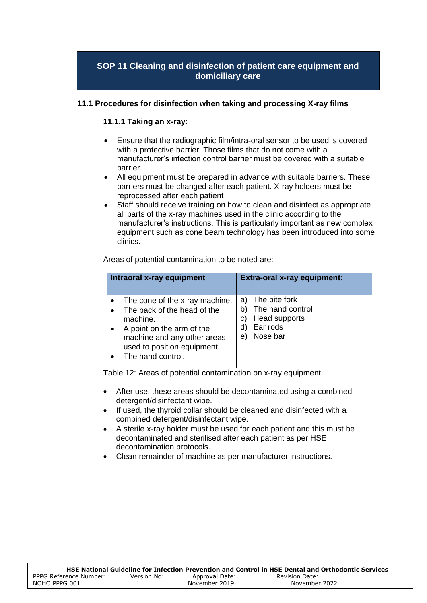# **SOP 11 Cleaning and disinfection of patient care equipment and domiciliary care**

#### **11.1 Procedures for disinfection when taking and processing X-ray films**

#### **11.1.1 Taking an x-ray:**

- Ensure that the radiographic film/intra-oral sensor to be used is covered with a protective barrier. Those films that do not come with a manufacturer's infection control barrier must be covered with a suitable barrier.
- All equipment must be prepared in advance with suitable barriers. These barriers must be changed after each patient. X-ray holders must be reprocessed after each patient
- Staff should receive training on how to clean and disinfect as appropriate all parts of the x-ray machines used in the clinic according to the manufacturer's instructions. This is particularly important as new complex equipment such as cone beam technology has been introduced into some clinics.

Areas of potential contamination to be noted are:

| Intraoral x-ray equipment                                                                                                                                                                 | <b>Extra-oral x-ray equipment:</b>                                                                       |
|-------------------------------------------------------------------------------------------------------------------------------------------------------------------------------------------|----------------------------------------------------------------------------------------------------------|
| The cone of the x-ray machine.<br>The back of the head of the<br>machine.<br>A point on the arm of the<br>machine and any other areas<br>used to position equipment.<br>The hand control. | The bite fork<br>a)<br>The hand control<br>b)<br>Head supports<br>C)<br>Ear rods<br>d)<br>Nose bar<br>e) |

Table 12: Areas of potential contamination on x-ray equipment

- After use, these areas should be decontaminated using a combined detergent/disinfectant wipe.
- If used, the thyroid collar should be cleaned and disinfected with a combined detergent/disinfectant wipe.
- A sterile x-ray holder must be used for each patient and this must be decontaminated and sterilised after each patient as per HSE decontamination protocols.
- Clean remainder of machine as per manufacturer instructions.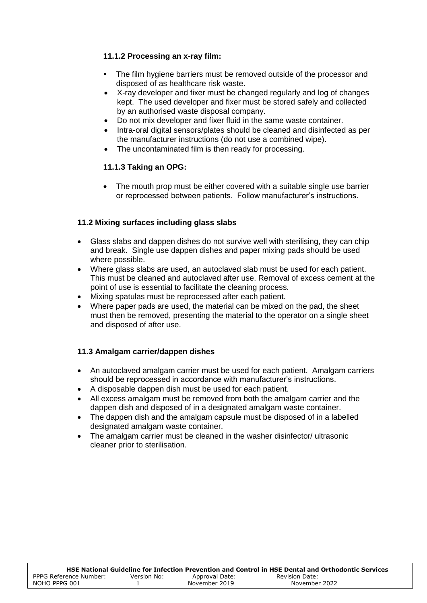#### **11.1.2 Processing an x-ray film:**

- The film hygiene barriers must be removed outside of the processor and disposed of as healthcare risk waste.
- X-ray developer and fixer must be changed regularly and log of changes kept. The used developer and fixer must be stored safely and collected by an authorised waste disposal company.
- Do not mix developer and fixer fluid in the same waste container.
- Intra-oral digital sensors/plates should be cleaned and disinfected as per the manufacturer instructions (do not use a combined wipe).
- The uncontaminated film is then ready for processing.

# **11.1.3 Taking an OPG:**

 The mouth prop must be either covered with a suitable single use barrier or reprocessed between patients. Follow manufacturer's instructions.

# **11.2 Mixing surfaces including glass slabs**

- Glass slabs and dappen dishes do not survive well with sterilising, they can chip and break. Single use dappen dishes and paper mixing pads should be used where possible.
- Where glass slabs are used, an autoclaved slab must be used for each patient. This must be cleaned and autoclaved after use. Removal of excess cement at the point of use is essential to facilitate the cleaning process.
- Mixing spatulas must be reprocessed after each patient.
- Where paper pads are used, the material can be mixed on the pad, the sheet must then be removed, presenting the material to the operator on a single sheet and disposed of after use.

# **11.3 Amalgam carrier/dappen dishes**

- An autoclaved amalgam carrier must be used for each patient. Amalgam carriers should be reprocessed in accordance with manufacturer's instructions.
- A disposable dappen dish must be used for each patient.
- All excess amalgam must be removed from both the amalgam carrier and the dappen dish and disposed of in a designated amalgam waste container.
- The dappen dish and the amalgam capsule must be disposed of in a labelled designated amalgam waste container.
- The amalgam carrier must be cleaned in the washer disinfector/ ultrasonic cleaner prior to sterilisation.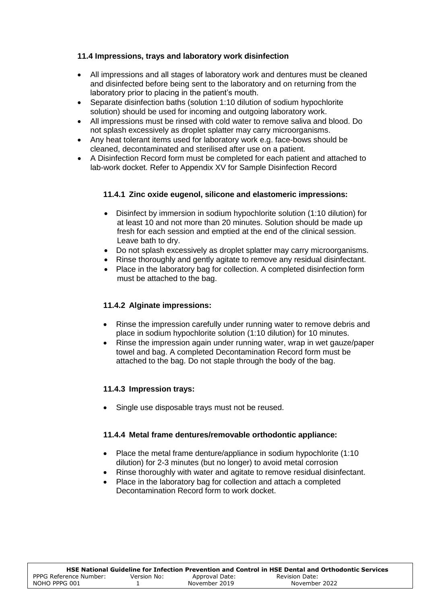#### **11.4 Impressions, trays and laboratory work disinfection**

- All impressions and all stages of laboratory work and dentures must be cleaned and disinfected before being sent to the laboratory and on returning from the laboratory prior to placing in the patient's mouth.
- Separate disinfection baths (solution 1:10 dilution of sodium hypochlorite solution) should be used for incoming and outgoing laboratory work.
- All impressions must be rinsed with cold water to remove saliva and blood. Do not splash excessively as droplet splatter may carry microorganisms.
- Any heat tolerant items used for laboratory work e.g. face-bows should be cleaned, decontaminated and sterilised after use on a patient.
- A Disinfection Record form must be completed for each patient and attached to lab-work docket. Refer to Appendix XV for Sample Disinfection Record

#### **11.4.1 Zinc oxide eugenol, silicone and elastomeric impressions:**

- Disinfect by immersion in sodium hypochlorite solution (1:10 dilution) for at least 10 and not more than 20 minutes. Solution should be made up fresh for each session and emptied at the end of the clinical session. Leave bath to dry.
- Do not splash excessively as droplet splatter may carry microorganisms.
- Rinse thoroughly and gently agitate to remove any residual disinfectant.
- Place in the laboratory bag for collection. A completed disinfection form must be attached to the bag.

#### **11.4.2 Alginate impressions:**

- Rinse the impression carefully under running water to remove debris and place in sodium hypochlorite solution (1:10 dilution) for 10 minutes.
- Rinse the impression again under running water, wrap in wet gauze/paper towel and bag. A completed Decontamination Record form must be attached to the bag. Do not staple through the body of the bag.

#### **11.4.3 Impression trays:**

Single use disposable trays must not be reused.

#### **11.4.4 Metal frame dentures/removable orthodontic appliance:**

- Place the metal frame denture/appliance in sodium hypochlorite (1:10) dilution) for 2-3 minutes (but no longer) to avoid metal corrosion
- Rinse thoroughly with water and agitate to remove residual disinfectant.
- Place in the laboratory bag for collection and attach a completed Decontamination Record form to work docket.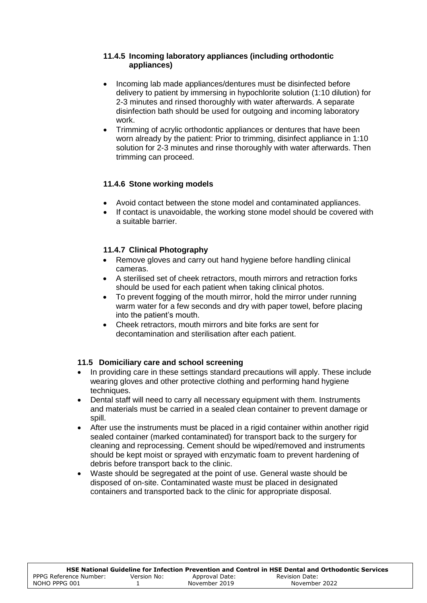#### **11.4.5 Incoming laboratory appliances (including orthodontic appliances)**

- Incoming lab made appliances/dentures must be disinfected before delivery to patient by immersing in hypochlorite solution (1:10 dilution) for 2-3 minutes and rinsed thoroughly with water afterwards. A separate disinfection bath should be used for outgoing and incoming laboratory work.
- Trimming of acrylic orthodontic appliances or dentures that have been worn already by the patient: Prior to trimming, disinfect appliance in 1:10 solution for 2-3 minutes and rinse thoroughly with water afterwards. Then trimming can proceed.

# **11.4.6 Stone working models**

- Avoid contact between the stone model and contaminated appliances.
- If contact is unavoidable, the working stone model should be covered with a suitable barrier.

# **11.4.7 Clinical Photography**

- Remove gloves and carry out hand hygiene before handling clinical cameras.
- A sterilised set of cheek retractors, mouth mirrors and retraction forks should be used for each patient when taking clinical photos.
- To prevent fogging of the mouth mirror, hold the mirror under running warm water for a few seconds and dry with paper towel, before placing into the patient's mouth.
- Cheek retractors, mouth mirrors and bite forks are sent for decontamination and sterilisation after each patient.

# **11.5 Domiciliary care and school screening**

- In providing care in these settings standard precautions will apply. These include wearing gloves and other protective clothing and performing hand hygiene techniques.
- Dental staff will need to carry all necessary equipment with them. Instruments and materials must be carried in a sealed clean container to prevent damage or spill.
- After use the instruments must be placed in a rigid container within another rigid sealed container (marked contaminated) for transport back to the surgery for cleaning and reprocessing. Cement should be wiped/removed and instruments should be kept moist or sprayed with enzymatic foam to prevent hardening of debris before transport back to the clinic.
- Waste should be segregated at the point of use. General waste should be disposed of on-site. Contaminated waste must be placed in designated containers and transported back to the clinic for appropriate disposal.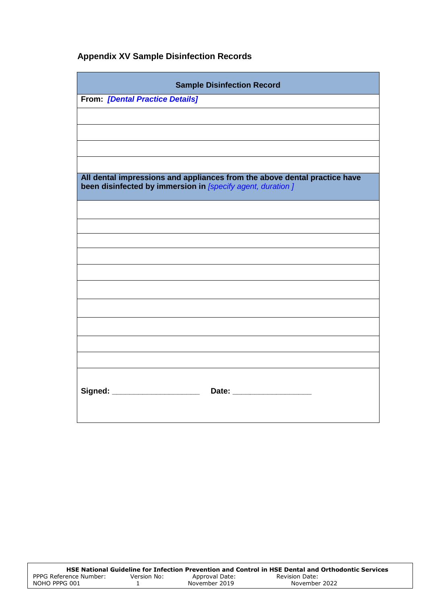# **Appendix XV Sample Disinfection Records**

| <b>Sample Disinfection Record</b>                                                                                                       |  |  |
|-----------------------------------------------------------------------------------------------------------------------------------------|--|--|
| <b>From: [Dental Practice Details]</b>                                                                                                  |  |  |
|                                                                                                                                         |  |  |
|                                                                                                                                         |  |  |
|                                                                                                                                         |  |  |
|                                                                                                                                         |  |  |
| All dental impressions and appliances from the above dental practice have<br>been disinfected by immersion in [specify agent, duration] |  |  |
|                                                                                                                                         |  |  |
|                                                                                                                                         |  |  |
|                                                                                                                                         |  |  |
|                                                                                                                                         |  |  |
|                                                                                                                                         |  |  |
|                                                                                                                                         |  |  |
|                                                                                                                                         |  |  |
|                                                                                                                                         |  |  |
|                                                                                                                                         |  |  |
|                                                                                                                                         |  |  |
| Signed: ______________________<br>Date: ____________________                                                                            |  |  |
|                                                                                                                                         |  |  |

|                        |             |                | HSE National Guideline for Infection Prevention and Control in HSE Dental and Orthodontic Services |
|------------------------|-------------|----------------|----------------------------------------------------------------------------------------------------|
| PPPG Reference Number: | Version No: | Approval Date: | Revision Date:                                                                                     |
| NOHO PPPG 001          |             | November 2019  | November 2022                                                                                      |